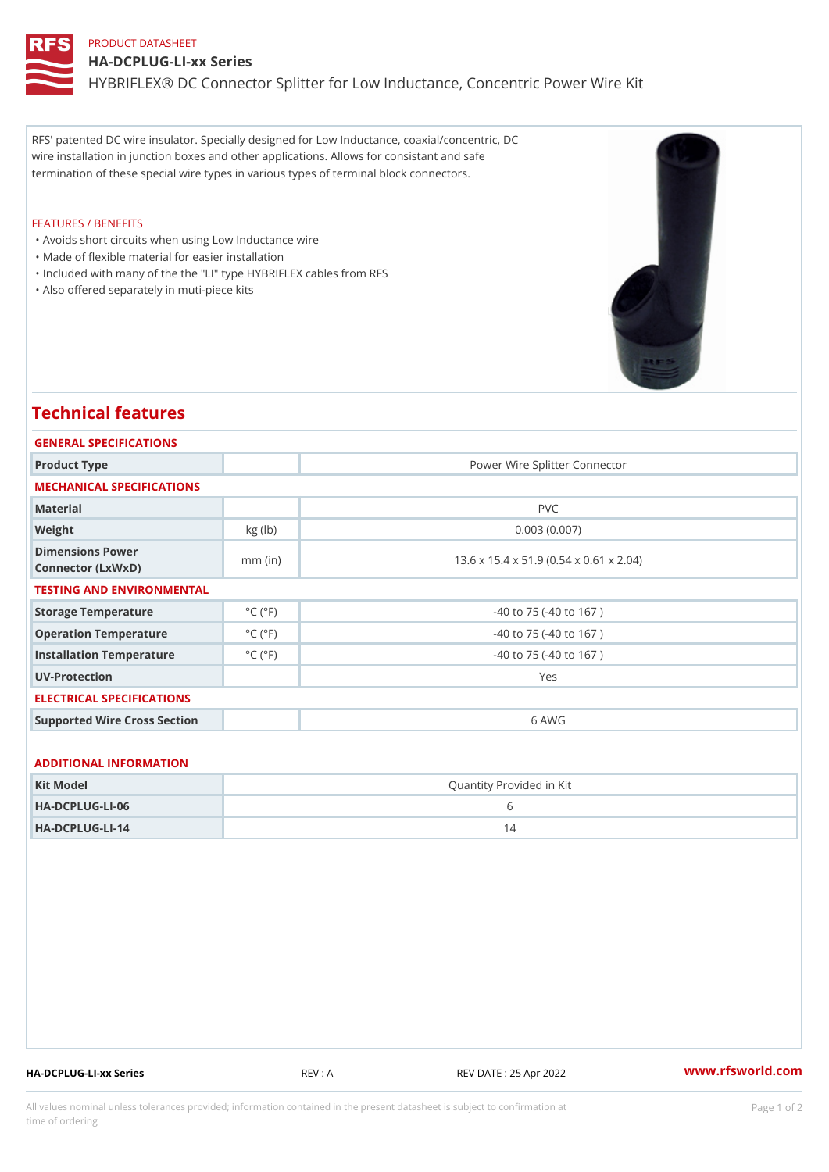## PRODUCT DATASHEET HA-DCPLUG-LI-xx Series HYBRIFLEX® DC Connector Splitter for Low Inductance, Concentric Power

RFS' patented DC wire insulator. Specially designed for Low Inductance, coaxial/concentric, DC wire installation in junction boxes and other applications. Allows for consistant and safe termination of these special wire types in various types of terminal block connectors.

## FEATURES / BENEFITS

- "Avoids short circuits when using Low Inductance wire
- "Made of flexible material for easier installation
- "Included with many of the the "LI" type HYBRIFLEX cables from RFS
- "Also offered separately in muti-piece kits

## Technical features

| GENERAL SPECIFICATIONS                |                             |                                         |
|---------------------------------------|-----------------------------|-----------------------------------------|
| Product Type                          |                             | Power Wire Splitter Connector           |
| MECHANICAL SPECIFICATIONS             |                             |                                         |
| Material                              |                             | PVC                                     |
| Weight                                | $kg$ (lb)                   | 0.003(0.007)                            |
| Dimensions Power<br>Connector (LxWxD) | $mm$ (in)                   | 13.6 x 15.4 x 51.9 (0.54 x 0.61 x 2.04) |
| TESTING AND ENVIRONMENTAL             |                             |                                         |
| Storage Temperature                   | $^{\circ}$ C ( $^{\circ}$ F | $-40$ to $75$ ( $-40$ to $167$ )        |
| Operation Temperature                 | $^{\circ}$ C ( $^{\circ}$ F | $-40$ to $75$ ( $-40$ to $167$ )        |
| Installation Temperature              | $^{\circ}$ C ( $^{\circ}$ F | $-40$ to $75$ ( $-40$ to $167$ )        |
| UV-Protection                         |                             | Yes                                     |
| ELECTRICAL SPECIFICATIONS             |                             |                                         |
| Supported Wire Cross Section          |                             | 6 AWG                                   |
|                                       |                             |                                         |
| ADDITIONAL INFORMATION                |                             |                                         |
| Kit Model                             | Quantity Provided in Kit    |                                         |
| $HA - DCP LUG - L1 - 06$              | 6                           |                                         |

HA-DCPLUG-LI-14 14

HA-DCPLUG-LI-xx Series REV : A REV DATE : 25 Apr 2022 WWW.rfsworld.com